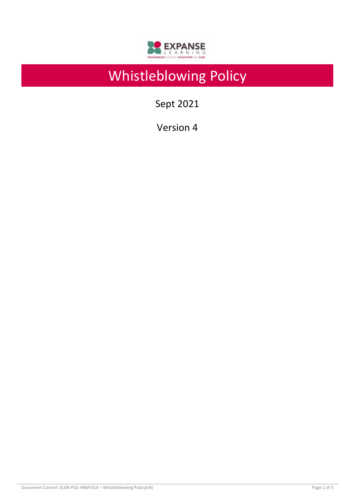

# Whistleblowing Policy

Sept 2021

Version 4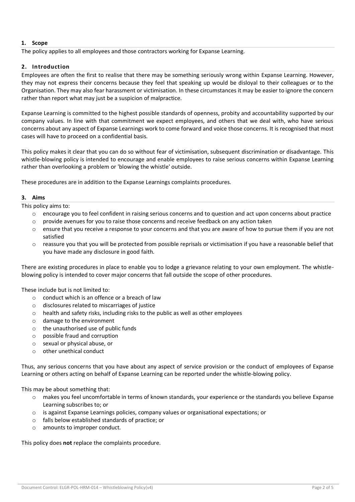## **1. Scope**

The policy applies to all employees and those contractors working for Expanse Learning.

## **2. Introduction**

Employees are often the first to realise that there may be something seriously wrong within Expanse Learning. However, they may not express their concerns because they feel that speaking up would be disloyal to their colleagues or to the Organisation. They may also fear harassment or victimisation. In these circumstances it may be easier to ignore the concern rather than report what may just be a suspicion of malpractice.

Expanse Learning is committed to the highest possible standards of openness, probity and accountability supported by our company values. In line with that commitment we expect employees, and others that we deal with, who have serious concerns about any aspect of Expanse Learnings work to come forward and voice those concerns. It is recognised that most cases will have to proceed on a confidential basis.

This policy makes it clear that you can do so without fear of victimisation, subsequent discrimination or disadvantage. This whistle-blowing policy is intended to encourage and enable employees to raise serious concerns within Expanse Learning rather than overlooking a problem or 'blowing the whistle' outside.

These procedures are in addition to the Expanse Learnings complaints procedures.

#### **3. Aims**

This policy aims to:

- o encourage you to feel confident in raising serious concerns and to question and act upon concerns about practice
- o provide avenues for you to raise those concerns and receive feedback on any action taken
- o ensure that you receive a response to your concerns and that you are aware of how to pursue them if you are not satisfied
- o reassure you that you will be protected from possible reprisals or victimisation if you have a reasonable belief that you have made any disclosure in good faith.

There are existing procedures in place to enable you to lodge a grievance relating to your own employment. The whistleblowing policy is intended to cover major concerns that fall outside the scope of other procedures.

These include but is not limited to:

- $\circ$  conduct which is an offence or a breach of law
- o disclosures related to miscarriages of justice
- $\circ$  health and safety risks, including risks to the public as well as other employees
- o damage to the environment
- o the unauthorised use of public funds
- o possible fraud and corruption
- o sexual or physical abuse, or
- o other unethical conduct

Thus, any serious concerns that you have about any aspect of service provision or the conduct of employees of Expanse Learning or others acting on behalf of Expanse Learning can be reported under the whistle-blowing policy.

This may be about something that:

- o makes you feel uncomfortable in terms of known standards, your experience or the standards you believe Expanse Learning subscribes to; or
- o is against Expanse Learnings policies, company values or organisational expectations; or
- o falls below established standards of practice; or
- o amounts to improper conduct.

This policy does **not** replace the complaints procedure.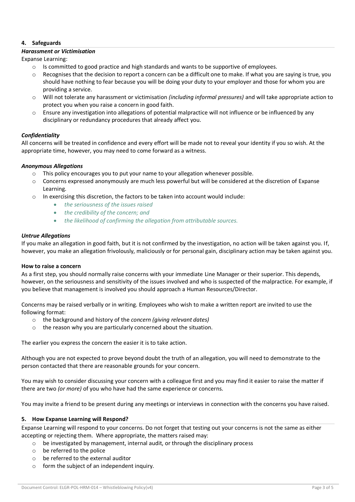## **4. Safeguards**

#### *Harassment or Victimisation*

Expanse Learning:

- $\circ$  Is committed to good practice and high standards and wants to be supportive of employees.
- o Recognises that the decision to report a concern can be a difficult one to make. If what you are saying is true, you should have nothing to fear because you will be doing your duty to your employer and those for whom you are providing a service.
- o Will not tolerate any harassment or victimisation *(including informal pressures)* and will take appropriate action to protect you when you raise a concern in good faith.
- o Ensure any investigation into allegations of potential malpractice will not influence or be influenced by any disciplinary or redundancy procedures that already affect you.

## *Confidentiality*

All concerns will be treated in confidence and every effort will be made not to reveal your identity if you so wish. At the appropriate time, however, you may need to come forward as a witness.

## *Anonymous Allegations*

- $\circ$  This policy encourages you to put your name to your allegation whenever possible.
- $\circ$  Concerns expressed anonymously are much less powerful but will be considered at the discretion of Expanse Learning.
- o In exercising this discretion, the factors to be taken into account would include:
	- *the seriousness of the issues raised*
	- *the credibility of the concern; and*
	- *the likelihood of confirming the allegation from attributable sources.*

## *Untrue Allegations*

If you make an allegation in good faith, but it is not confirmed by the investigation, no action will be taken against you. If, however, you make an allegation frivolously, maliciously or for personal gain, disciplinary action may be taken against you.

## **How to raise a concern**

As a first step, you should normally raise concerns with your immediate Line Manager or their superior. This depends, however, on the seriousness and sensitivity of the issues involved and who is suspected of the malpractice. For example, if you believe that management is involved you should approach a Human Resources/Director.

Concerns may be raised verbally or in writing. Employees who wish to make a written report are invited to use the following format:

- o the background and history of the *concern (giving relevant dates)*
- o the reason why you are particularly concerned about the situation.

The earlier you express the concern the easier it is to take action.

Although you are not expected to prove beyond doubt the truth of an allegation, you will need to demonstrate to the person contacted that there are reasonable grounds for your concern.

You may wish to consider discussing your concern with a colleague first and you may find it easier to raise the matter if there are two *(or more)* of you who have had the same experience or concerns.

You may invite a friend to be present during any meetings or interviews in connection with the concerns you have raised.

## **5. How Expanse Learning will Respond?**

Expanse Learning will respond to your concerns. Do not forget that testing out your concerns is not the same as either accepting or rejecting them. Where appropriate, the matters raised may:

- $\circ$  be investigated by management, internal audit, or through the disciplinary process
- o be referred to the police
- o be referred to the external auditor
- o form the subject of an independent inquiry.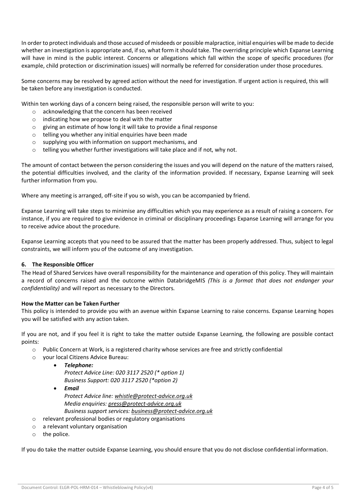In order to protect individuals and those accused of misdeeds or possible malpractice, initial enquiries will be made to decide whether an investigation is appropriate and, if so, what form it should take. The overriding principle which Expanse Learning will have in mind is the public interest. Concerns or allegations which fall within the scope of specific procedures (for example, child protection or discrimination issues) will normally be referred for consideration under those procedures.

Some concerns may be resolved by agreed action without the need for investigation. If urgent action is required, this will be taken before any investigation is conducted.

Within ten working days of a concern being raised, the responsible person will write to you:

- o acknowledging that the concern has been received
- o indicating how we propose to deal with the matter
- o giving an estimate of how long it will take to provide a final response
- o telling you whether any initial enquiries have been made
- o supplying you with information on support mechanisms, and
- o telling you whether further investigations will take place and if not, why not.

The amount of contact between the person considering the issues and you will depend on the nature of the matters raised, the potential difficulties involved, and the clarity of the information provided. If necessary, Expanse Learning will seek further information from you.

Where any meeting is arranged, off-site if you so wish, you can be accompanied by friend.

Expanse Learning will take steps to minimise any difficulties which you may experience as a result of raising a concern. For instance, if you are required to give evidence in criminal or disciplinary proceedings Expanse Learning will arrange for you to receive advice about the procedure.

Expanse Learning accepts that you need to be assured that the matter has been properly addressed. Thus, subject to legal constraints, we will inform you of the outcome of any investigation.

## **6. The Responsible Officer**

The Head of Shared Services have overall responsibility for the maintenance and operation of this policy. They will maintain a record of concerns raised and the outcome within DatabridgeMIS *(This is a format that does not endanger your confidentiality)* and will report as necessary to the Directors.

## **How the Matter can be Taken Further**

This policy is intended to provide you with an avenue within Expanse Learning to raise concerns. Expanse Learning hopes you will be satisfied with any action taken.

If you are not, and if you feel it is right to take the matter outside Expanse Learning, the following are possible contact points:

- o Public Concern at Work, is a registered charity whose services are free and strictly confidential
- o your local Citizens Advice Bureau:
	- *Telephone: Protect Advice Line: 020 3117 2520 (\* option 1) Business Support: 020 3117 2520 (\*option 2)*
	- *Email Protect Advice line: [whistle@protect-advice.org.uk](mailto:whistle@protect-advice.org.uk) Media enquiries: [press@protect-advice.org.uk](mailto:press@pcaw.org.uk) Business support services: [business@protect-advice.org.uk](mailto:business@protect-advice.org.uk)*
- o relevant professional bodies or regulatory organisations
- o a relevant voluntary organisation
- o the police.

If you do take the matter outside Expanse Learning, you should ensure that you do not disclose confidential information.